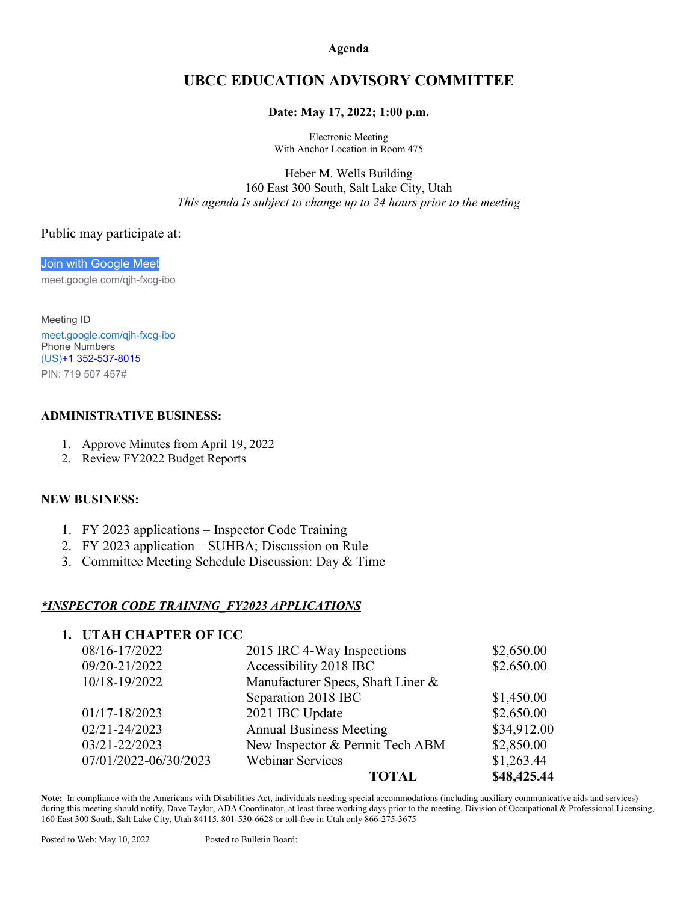**Agenda**

# **UBCC EDUCATION ADVISORY COMMITTEE**

#### **Date: May 17, 2022; 1:00 p.m.**

Electronic Meeting With Anchor Location in Room 475

Heber M. Wells Building 160 East 300 South, Salt Lake City, Utah *This agenda is subject to change up to 24 hours prior to the meeting*

#### Public may participate at:

[Join with Google Meet](https://meet.google.com/qjh-fxcg-ibo?hs=122&authuser=0) meet.google.com/qjh-fxcg-ibo

Meeting ID [meet.google.com/qjh-fxcg-ibo](https://meet.google.com/qjh-fxcg-ibo?hs=122&authuser=0) Phone Numbers (US)+1 [352-537-8015](tel:%E2%80%AA+1%20352-537-8015%E2%80%AC) PIN: 719 507 457#

#### **ADMINISTRATIVE BUSINESS:**

- 1. Approve Minutes from April 19, 2022
- 2. Review FY2022 Budget Reports

#### **NEW BUSINESS:**

- 1. FY 2023 applications Inspector Code Training
- 2. FY 2023 application SUHBA; Discussion on Rule
- 3. Committee Meeting Schedule Discussion: Day & Time

### *\*INSPECTOR CODE TRAINING\_FY2023 APPLICATIONS*

## **1. UTAH CHAPTER OF ICC**

| 08/16-17/2022         | 2015 IRC 4-Way Inspections        | \$2,650.00  |
|-----------------------|-----------------------------------|-------------|
| 09/20-21/2022         | Accessibility 2018 IBC            | \$2,650.00  |
| 10/18-19/2022         | Manufacturer Specs, Shaft Liner & |             |
|                       | Separation 2018 IBC               | \$1,450.00  |
| 01/17-18/2023         | 2021 IBC Update                   | \$2,650.00  |
| 02/21-24/2023         | <b>Annual Business Meeting</b>    | \$34,912.00 |
| 03/21-22/2023         | New Inspector & Permit Tech ABM   | \$2,850.00  |
| 07/01/2022-06/30/2023 | <b>Webinar Services</b>           | \$1,263.44  |
|                       | <b>TOTAL</b>                      | \$48,425.44 |

**Note:** In compliance with the Americans with Disabilities Act, individuals needing special accommodations (including auxiliary communicative aids and services) during this meeting should notify, Dave Taylor, ADA Coordinator, at least three working days prior to the meeting. Division of Occupational & Professional Licensing, 160 East 300 South, Salt Lake City, Utah 84115, 801-530-6628 or toll-free in Utah only 866-275-3675

Posted to Web: May 10, 2022 Posted to Bulletin Board: